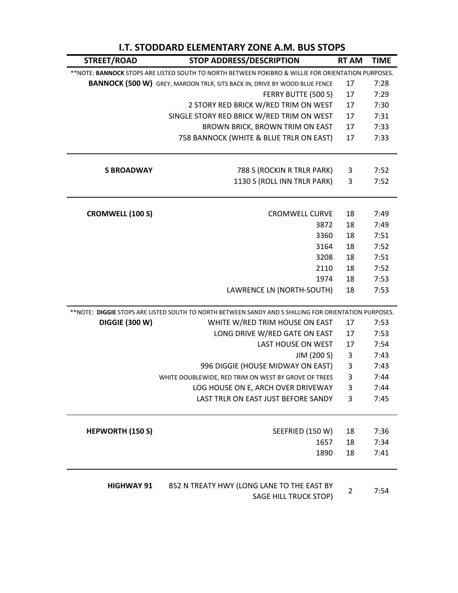| <b>I.T. STODDARD ELEMENTARY ZONE A.M. BUS STOPS</b>                                                |                                                                                                        |              |             |  |  |
|----------------------------------------------------------------------------------------------------|--------------------------------------------------------------------------------------------------------|--------------|-------------|--|--|
| STREET/ROAD                                                                                        | <b>STOP ADDRESS/DESCRIPTION</b>                                                                        | <b>RT AM</b> | <b>TIME</b> |  |  |
| **NOTE: BANNOCK STOPS ARE LISTED SOUTH TO NORTH BETWEEN POKIBRO & WILLIE FOR ORIENTATION PURPOSES. |                                                                                                        |              |             |  |  |
|                                                                                                    | <b>BANNOCK (500 W)</b> GREY, MAROON TRLR, SITS BACK IN, DRIVE BY WOOD BLUE FENCE                       | 17           | 7:28        |  |  |
|                                                                                                    | FERRY BUTTE (500 S)                                                                                    | 17           | 7:29        |  |  |
|                                                                                                    | 2 STORY RED BRICK W/RED TRIM ON WEST                                                                   | 17           | 7:30        |  |  |
|                                                                                                    | SINGLE STORY RED BRICK W/RED TRIM ON WEST                                                              | 17           | 7:31        |  |  |
|                                                                                                    | BROWN BRICK, BROWN TRIM ON EAST                                                                        | 17           | 7:33        |  |  |
|                                                                                                    | 758 BANNOCK (WHITE & BLUE TRLR ON EAST)                                                                | 17           | 7:33        |  |  |
| <b>S BROADWAY</b>                                                                                  | 788 S (ROCKIN R TRLR PARK)                                                                             | 3            | 7:52        |  |  |
|                                                                                                    | 1130 S (ROLL INN TRLR PARK)                                                                            | 3            | 7:52        |  |  |
| <b>CROMWELL (100 S)</b>                                                                            | <b>CROMWELL CURVE</b>                                                                                  | 18           | 7:49        |  |  |
|                                                                                                    | 3872                                                                                                   | 18           | 7:49        |  |  |
|                                                                                                    | 3360                                                                                                   | 18           | 7:51        |  |  |
|                                                                                                    | 3164                                                                                                   | 18           | 7:52        |  |  |
|                                                                                                    | 3208                                                                                                   | 18           | 7:51        |  |  |
|                                                                                                    | 2110                                                                                                   | 18           | 7:52        |  |  |
|                                                                                                    | 1974                                                                                                   | 18           | 7:53        |  |  |
|                                                                                                    | LAWRENCE LN (NORTH-SOUTH)                                                                              | 18           | 7:53        |  |  |
|                                                                                                    | ** NOTE: DIGGIE STOPS ARE LISTED SOUTH TO NORTH BETWEEN SANDY AND S SHILLING FOR ORIENTATION PURPOSES. |              |             |  |  |
| <b>DIGGIE (300 W)</b>                                                                              | WHITE W/RED TRIM HOUSE ON EAST                                                                         | 17           | 7:53        |  |  |
|                                                                                                    | LONG DRIVE W/RED GATE ON EAST                                                                          | 17           | 7:53        |  |  |
|                                                                                                    | LAST HOUSE ON WEST                                                                                     | 17           | 7:54        |  |  |
|                                                                                                    | JIM (200 S)                                                                                            | 3            | 7:43        |  |  |
|                                                                                                    | 996 DIGGIE (HOUSE MIDWAY ON EAST)                                                                      | 3            | 7:43        |  |  |
|                                                                                                    | WHITE DOUBLEWIDE, RED TRIM ON WEST BY GROVE OF TREES                                                   | 3            | 7:44        |  |  |
|                                                                                                    | LOG HOUSE ON E, ARCH OVER DRIVEWAY                                                                     | 3            | 7:44        |  |  |
|                                                                                                    | LAST TRLR ON EAST JUST BEFORE SANDY                                                                    | 3            | 7:45        |  |  |
| <b>HEPWORTH (150 S)</b>                                                                            | SEEFRIED (150 W)                                                                                       | 18           | 7:36        |  |  |
|                                                                                                    | 1657                                                                                                   | 18           | 7:34        |  |  |
|                                                                                                    | 1890                                                                                                   | 18           | 7:41        |  |  |
| <b>HIGHWAY 91</b>                                                                                  | 852 N TREATY HWY (LONG LANE TO THE EAST BY<br>SAGE HILL TRUCK STOP)                                    | 2            | 7:54        |  |  |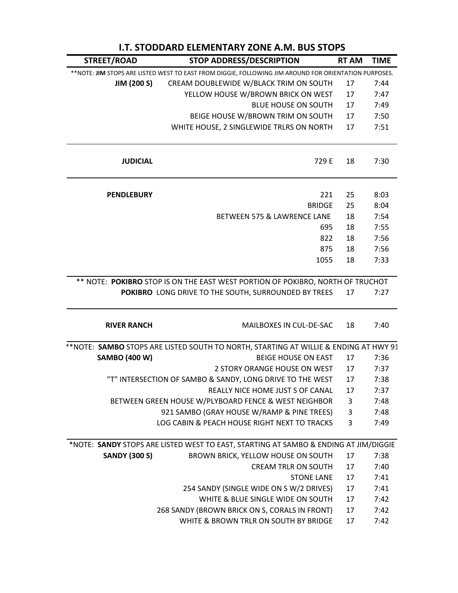| STREET/ROAD          | <b>STOP ADDRESS/DESCRIPTION</b>                                                                       | <b>RT AM</b> | <b>TIME</b> |
|----------------------|-------------------------------------------------------------------------------------------------------|--------------|-------------|
|                      | **NOTE: JIM STOPS ARE LISTED WEST TO EAST FROM DIGGIE, FOLLOWING JIM AROUND FOR ORIENTATION PURPOSES. |              |             |
| <b>JIM (200 S)</b>   | CREAM DOUBLEWIDE W/BLACK TRIM ON SOUTH                                                                | 17           | 7:44        |
|                      | YELLOW HOUSE W/BROWN BRICK ON WEST                                                                    | 17           | 7:47        |
|                      | <b>BLUE HOUSE ON SOUTH</b>                                                                            | 17           | 7:49        |
|                      | BEIGE HOUSE W/BROWN TRIM ON SOUTH                                                                     | 17           | 7:50        |
|                      | WHITE HOUSE, 2 SINGLEWIDE TRLRS ON NORTH                                                              | 17           | 7:51        |
| <b>JUDICIAL</b>      | 729 E                                                                                                 | 18           | 7:30        |
| <b>PENDLEBURY</b>    | 221                                                                                                   | 25           | 8:03        |
|                      | <b>BRIDGE</b>                                                                                         | 25           | 8:04        |
|                      | BETWEEN 575 & LAWRENCE LANE                                                                           | 18           | 7:54        |
|                      | 695                                                                                                   | 18           | 7:55        |
|                      | 822                                                                                                   | 18           | 7:56        |
|                      | 875                                                                                                   | 18           | 7:56        |
|                      | 1055                                                                                                  | 18           | 7:33        |
|                      | ** NOTE: POKIBRO STOP IS ON THE EAST WEST PORTION OF POKIBRO, NORTH OF TRUCHOT                        |              |             |
|                      | POKIBRO LONG DRIVE TO THE SOUTH, SURROUNDED BY TREES                                                  | 17           | 7:27        |
| <b>RIVER RANCH</b>   | MAILBOXES IN CUL-DE-SAC                                                                               | 18           | 7:40        |
|                      | ** NOTE: SAMBO STOPS ARE LISTED SOUTH TO NORTH, STARTING AT WILLIE & ENDING AT HWY 91                 |              |             |
| <b>SAMBO (400 W)</b> | <b>BEIGE HOUSE ON EAST</b>                                                                            | 17           | 7:36        |
|                      | 2 STORY ORANGE HOUSE ON WEST                                                                          | 17           | 7:37        |
|                      | "T" INTERSECTION OF SAMBO & SANDY, LONG DRIVE TO THE WEST                                             | 17           | 7:38        |
|                      | REALLY NICE HOME JUST S OF CANAL                                                                      | 17           | 7:37        |
|                      | BETWEEN GREEN HOUSE W/PLYBOARD FENCE & WEST NEIGHBOR                                                  | 3            | 7:48        |
|                      | 921 SAMBO (GRAY HOUSE W/RAMP & PINE TREES)                                                            | 3            | 7:48        |
|                      | LOG CABIN & PEACH HOUSE RIGHT NEXT TO TRACKS                                                          | 3            | 7:49        |
|                      | *NOTE: SANDY STOPS ARE LISTED WEST TO EAST, STARTING AT SAMBO & ENDING AT JIM/DIGGIE                  |              |             |
| <b>SANDY (300 S)</b> | BROWN BRICK, YELLOW HOUSE ON SOUTH                                                                    | 17           | 7:38        |
|                      | <b>CREAM TRLR ON SOUTH</b>                                                                            | 17           | 7:40        |
|                      | <b>STONE LANE</b>                                                                                     | 17           | 7:41        |
|                      | 254 SANDY (SINGLE WIDE ON S W/2 DRIVES)                                                               | 17           | 7:41        |
|                      | WHITE & BLUE SINGLE WIDE ON SOUTH                                                                     | 17           | 7:42        |
|                      | 268 SANDY (BROWN BRICK ON S, CORALS IN FRONT)                                                         | 17           | 7:42        |
|                      | WHITE & BROWN TRLR ON SOUTH BY BRIDGE                                                                 | 17           | 7:42        |

## **I.T. STODDARD ELEMENTARY ZONE A.M. BUS STOPS**